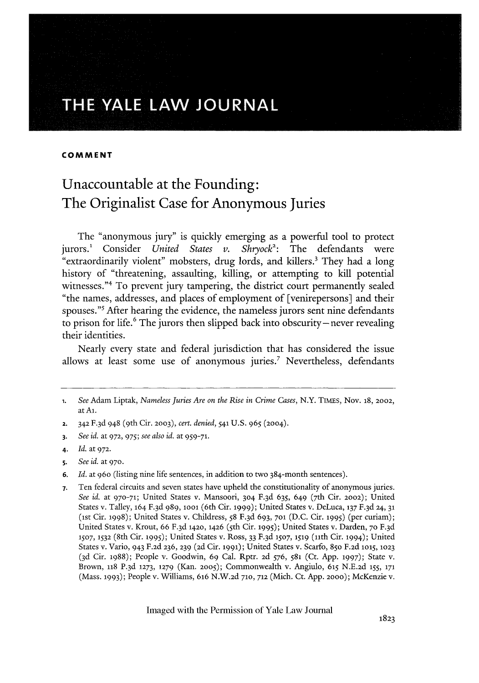# **THE YALE LAW JOURNAL**

#### **COMMENT**

## Unaccountable at the Founding: The Originalist Case for Anonymous Juries

The "anonymous jury" is quickly emerging as a powerful tool to protect jurors.<sup>1</sup> Consider *United States v. Shryock*<sup>2</sup>: The defendants were "extraordinarily violent" mobsters, drug lords, and killers.' They had a long history of "threatening, assaulting, killing, or attempting to kill potential witnesses."<sup>4</sup> To prevent jury tampering, the district court permanently sealed "the names, addresses, and places of employment of [venirepersons] and their spouses."<sup>5</sup> After hearing the evidence, the nameless jurors sent nine defendants to prison for life. $6$  The jurors then slipped back into obscurity-never revealing their identities.

Nearly every state and federal jurisdiction that has considered the issue allows at least some use of anonymous juries.<sup>7</sup> Nevertheless, defendants

- 2. 342 F.3d 948 (9th Cir. 2003), cert. denied, 541 U.S. 965 (2004).
- **3.** *See id.* at **972,** 975; *see also id.* at **959-71.**
- 4. *Id.* at **972.**
- 5. *See id.* at **970.**
- 6. *Id.* at 960 (listing nine life sentences, in addition to two 384-month sentences).
- **7.** Ten federal circuits and seven states have upheld the constitutionality of anonymous juries. See id. at 970-71; United States v. Mansoori, 304 F.3d 635, 649 (7th Cir. 2002); United States v. Talley, 164 F. 3d 989, 1ool (6th Cir. 1999); United States v. DeLuca, **137** F.3d 24, **31** (ist Cir. 1998); United States v. Childress, 58 F.3d 693, **701** (D.C. Cir. **1995)** (per curiam); United States v. Krout, 66 F.3d 1420, 1426 (5th Cir. 1995); United States v. Darden, 70 F.3d **1507, 1532** (8th Cir. 1995); United States v. Ross, 33 F. <sup>3</sup> d **1507, 1519** (lith Cir. 1994); United States v. Vario, 943 F.2d 236, **239** (2d Cir. **1991);** United States v. Scarfo, 85o F.2d l015, **1023** (3d Cir. 1988); People v. Goodwin, 69 Cal. Rptr. 2d 576, 581 (Ct. App. **1997);** State v. Brown, **118** P.3d **1273, 1279** (Kan. **2005);** Commonwealth v. Angiulo, 615 N.E.2d **155, 171** (Mass. 1993); People v. Williams, 616 N.W.2d **710, 712** (Mich. Ct. App. **2000);** McKenzie v.

**<sup>1.</sup>** *See* Adam Liptak, *Nameless Juries Are on the Rise in Crime Cases,* N.Y. TIMEs, Nov. **18, 2002,** at **Al.**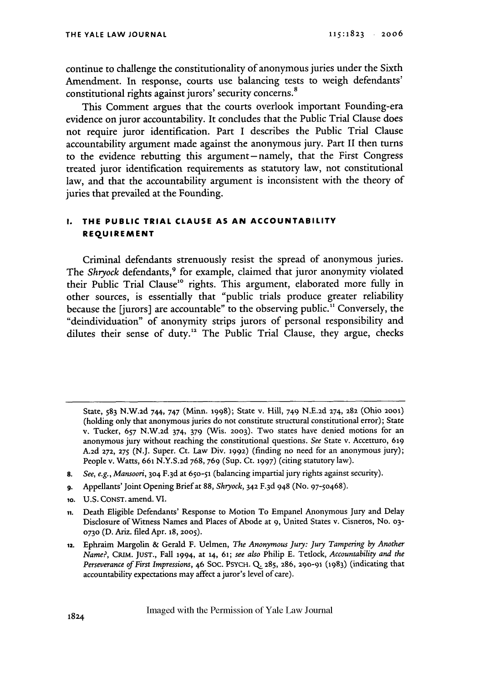continue to challenge the constitutionality of anonymous juries under the Sixth Amendment. In response, courts use balancing tests to weigh defendants' constitutional rights against jurors' security concerns.<sup>8</sup>

This Comment argues that the courts overlook important Founding-era evidence on juror accountability. It concludes that the Public Trial Clause does not require juror identification. Part I describes the Public Trial Clause accountability argument made against the anonymous jury. Part **II** then turns to the evidence rebutting this argument- namely, that the First Congress treated juror identification requirements as statutory law, not constitutional law, and that the accountability argument is inconsistent with the theory of juries that prevailed at the Founding.

## **I. THE PUBLIC TRIAL CLAUSE AS AN ACCOUNTABILITY REqUIREMENT**

Criminal defendants strenuously resist the spread of anonymous juries. The *Shryock* defendants,<sup>9</sup> for example, claimed that juror anonymity violated their Public Trial Clause<sup>10</sup> rights. This argument, elaborated more fully in other sources, is essentially that "public trials produce greater reliability because the [jurors] are accountable" to the observing public." Conversely, the "deindividuation" of anonymity strips jurors of personal responsibility and dilutes their sense of duty.<sup>12</sup> The Public Trial Clause, they argue, checks

State, 583 N.W.2d 744, 747 (Minn. 1998); State v. Hill, 749 N.E.2d 274, 282 (Ohio **2001)** (holding only that anonymous juries do not constitute structural constitutional error); State v. Tucker, 657 N.W.2d 374, 379 (Wis. **2003).** Two states have denied motions for an anonymous jury without reaching the constitutional questions. See State v. Accetturo, **619** A.2d **272, 275** (N.J. Super. Ct. Law Div. 1992) (finding no need for an anonymous jury); People v. Watts, **661** N.Y.S.2d 768, 769 (Sup. Ct. **1997)** (citing statutory law).

*<sup>8.</sup> See, e.g., Mansoori,* 304 F. 3d at 650-51 (balancing impartial jury rights against security).

**<sup>9.</sup>** Appellants' Joint Opening Brief at 88, *Shryock,* 342 F. 3d 948 (No. 97-50468).

**<sup>10.</sup>** U.S. CONST. amend. VI.

**ii.** Death Eligible Defendants' Response to Motion To Empanel Anonymous Jury and Delay Disclosure of Witness Names and Places of Abode at 9, United States v. Cisneros, No. **03- 0730** (D. Ariz. filed Apr. **18, 2005).**

**m,.** Ephraim Margolin & Gerald F. Uelmen, *The Anonymous Jury: Jury Tampering by Another Name?,* CRIM. **JUST.,** Fall 1994, at **14,** 61; *see also* Philip E. Tetlock, *Accountability and the Perseverance of First Impressions,* 46 Soc. PsycH. Q. **285, 286,** 290-91 (1983) (indicating that accountability expectations may affect a juror's level of care).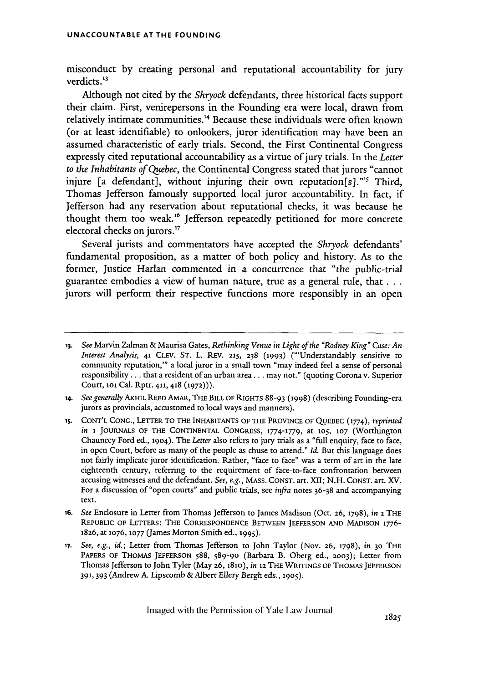misconduct by creating personal and reputational accountability for jury verdicts.<sup>13</sup>

Although not cited by the *Shryock* defendants, three historical facts support their claim. First, venirepersons in the Founding era were local, drawn from relatively intimate communities.<sup>14</sup> Because these individuals were often known (or at least identifiable) to onlookers, juror identification may have been an assumed characteristic of early trials. Second, the First Continental Congress expressly cited reputational accountability as a virtue of jury trials. In the *Leiter to the Inhabitants of Quebec,* the Continental Congress stated that jurors "cannot injure [a defendant], without injuring their own reputation[s]."<sup>5</sup> Third, Thomas Jefferson famously supported local juror accountability. In fact, if Jefferson had any reservation about reputational checks, it was because he thought them too weak.<sup>16</sup> Jefferson repeatedly petitioned for more concrete electoral checks on jurors.<sup>17</sup>

Several jurists and commentators have accepted the *Shryock* defendants' fundamental proposition, as a matter of both policy and history. As to the former, Justice Harlan commented in a concurrence that "the public-trial guarantee embodies a view of human nature, true as a general rule, that... jurors will perform their respective functions more responsibly in an open

**<sup>13.</sup>** *See* Marvin Zalman & Maurisa Gates, *Rethinking Venue in Light of the "Rodney King" Case: An Interest Analysis,* 41 *CLEV.* ST. L. REv. **215,** 238 **(1993)** ("'Understandably sensitive to community reputation,'" a local juror in a small town "may indeed feel a sense of personal responsibility... that a resident of an urban area... may not." (quoting Corona v. Superior Court, **loi** Cal. Rptr. 411,418 **(1972))).**

<sup>14.</sup> *See generally* AKHIL REED AMAR, THE **BILL** OF RIGHTS 88-93 (1998) (describing Founding-era jurors as provincials, accustomed to local ways and manners).

**<sup>15.</sup>** CONT'L CONG., LETTER TO THE INHABITANTS OF THE PROVINCE OF QUEBEC **(1774),** *reprinted in* **1 JOURNALS OF THE CONTINENTAL CONGRESS, 1774-1779,** at **105, 107** (Worthington Chauncey Ford ed., 1904). The *Letter* also refers to jury trials as a "full enquiry, face to face, in open Court, before as many of the people as chuse to attend." *Id.* But this language does not fairly implicate juror identification. Rather, "face to face" was a term of art in the late eighteenth century, referring to the requirement of face-to-face confrontation between accusing witnesses and the defendant. *See, e.g.,* MASS. CONST. art. XII; N.H. **CONST.** art. **XV.** For a discussion of "open courts" and public trials, see *infra* notes 36-38 and accompanying text.

*<sup>16.</sup> See* Enclosure in Letter from Thomas Jefferson to James Madison (Oct. **26, 1798),** *in* 2 THE REPUBLIC OF LETTERS: THE CORRESPONDENCE BETWEEN JEFFERSON AND MADISON 1776- 1826, at **1076, 1077** (James Morton Smith ed., 1995).

*<sup>17.</sup> See, e.g., id.;* Letter from Thomas Jefferson to John Taylor (Nov. 26, 1798), *in* **30** THE PAPERS OF THOMAS JEFFERSON 588, 589-90 (Barbara B. Oberg ed., **2003);** Letter from Thomas Jefferson to John Tyler (May **26, 181o),** *in* 12 **THE** WRITINGS OF **THOMAS JEFFERSON 391,** 393 (Andrew **A.** Lipscomb & Albert Ellery Bergh eds., **1905).**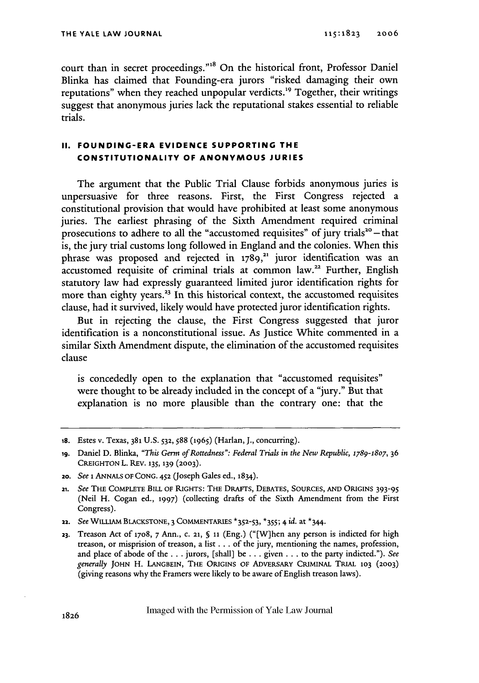court than in secret proceedings."<sup>18</sup> On the historical front, Professor Daniel Blinka has claimed that Founding-era jurors "risked damaging their own reputations" when they reached unpopular verdicts.<sup>19</sup> Together, their writings suggest that anonymous juries lack the reputational stakes essential to reliable trials.

### **II. FOUNDING-ERA EVIDENCE SUPPORTING THE CONSTITUTIONALITY OF ANONYMOUS JURIES**

The argument that the Public Trial Clause forbids anonymous juries is unpersuasive for three reasons. First, the First Congress rejected a constitutional provision that would have prohibited at least some anonymous juries. The earliest phrasing of the Sixth Amendment required criminal prosecutions to adhere to all the "accustomed requisites" of jury trials<sup>20</sup>  $-$  that is, the jury trial customs long followed in England and the colonies. When this phrase was proposed and rejected in  $1789$ ,<sup>21</sup> juror identification was an accustomed requisite of criminal trials at common law.<sup>22</sup> Further, English statutory law had expressly guaranteed limited juror identification rights for more than eighty years.<sup>23</sup> In this historical context, the accustomed requisites clause, had it survived, likely would have protected juror identification rights.

But in rejecting the clause, the First Congress suggested that juror identification is a nonconstitutional issue. As Justice White commented in a similar Sixth Amendment dispute, the elimination of the accustomed requisites clause

is concededly open to the explanation that "accustomed requisites" were thought to be already included in the concept of a "jury." But that explanation is no more plausible than the contrary one: that the

**i8.** Estes v. Texas, **381** U.S. **532, 588** (1965) (Harlan, **J.,** concurring).

**ig.** Daniel D. Blinka, *"This Germ of Rottedness": Federal Trials in the New Republic, 1789-1807,* **36 CREIGHTONL.** REV. **135, 139 (2003).**

*z0. See* **i** ANNALS OF **CONG.** *452* (Joseph Gales ed., 1834).

<sup>21.</sup> *See* THE COMPLETE BILL **OF** RIGHTS: **THE** DRAFTS, **DEBATES, SOURCES, AND** ORIGINS 393-95 (Neil H. Cogan ed., **1997)** (collecting drafts of the Sixth Amendment from the First Congress).

*<sup>22.</sup> See* WILLIAM **BLACKSTONE, 3 COMMENTARIES \*352-53,** \*355; 4 *id.* at \*344.

**<sup>23.</sup>** Treason Act **of** 17o8, 7 Ann., **C. 21,** S *ii* (Eng.) ("[W]hen any person is indicted for high treason, or misprision of treason, a list.., of the jury, mentioning the names, profession, and place of abode of the **...** jurors, [shall] be . **..** given **...** to the party indicted."). *See generally* **JOHN** H. LANGBEIN, THE ORIGINS **OF** ADVERSARY CRIMINAL TRIAL **103 (2003)** (giving reasons why the Framers were likely to be aware of English treason laws).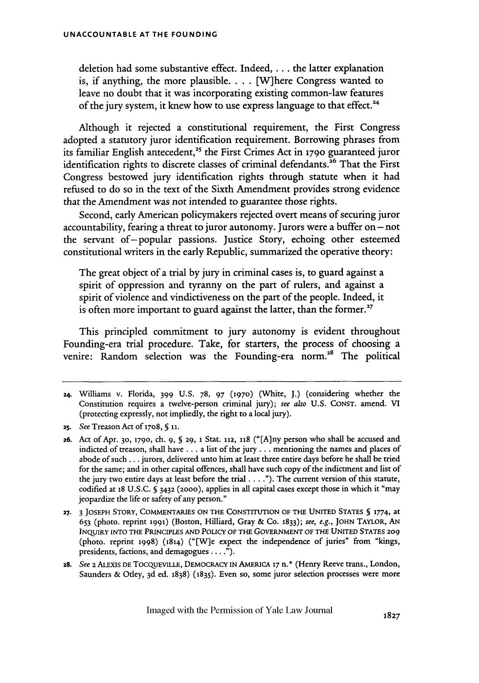deletion had some substantive effect. Indeed,... the latter explanation is, if anything, the more plausible **....** [W]here Congress wanted to leave no doubt that it was incorporating existing common-law features of the jury system, it knew how to use express language to that effect.'

Although it rejected a constitutional requirement, the First Congress adopted a statutory juror identification requirement. Borrowing phrases from its familiar English antecedent,<sup>25</sup> the First Crimes Act in 1790 guaranteed juror identification rights to discrete classes of criminal defendants.<sup>26</sup> That the First Congress bestowed jury identification rights through statute when it had refused to do so in the text of the Sixth Amendment provides strong evidence that the Amendment was not intended to guarantee those rights.

Second, early American policymakers rejected overt means of securing juror accountability, fearing a threat to juror autonomy. Jurors were a buffer on  $-$  not the servant of-popular passions. Justice Story, echoing other esteemed constitutional writers in the early Republic, summarized the operative theory:

The great object of a trial by jury in criminal cases is, to guard against a spirit of oppression and tyranny on the part of rulers, and against a spirit of violence and vindictiveness on the part of the people. Indeed, it is often more important to guard against the latter, than the former.<sup>27</sup>

This principled commitment to jury autonomy is evident throughout Founding-era trial procedure. Take, for starters, the process of choosing a venire: Random selection was the Founding-era norm.<sup>28</sup> The political

**28.** See **2** ALExIS **DE** TOCQUEVILLE, DEMOCRACY IN AMERICA **17** n.\* (Henry Reeve trans., London, Saunders & Otley, 3d ed. 1838) (1835). Even so, some juror selection processes were more

<sup>24.</sup> Williams v. Florida, 399 U.S. 78, 97 **(1970)** (White, J.) (considering whether the Constitution requires a twelve-person criminal jury); see also U.S. **CONST.** amend. VI (protecting expressly, not impliedly, the right to a local jury).

**<sup>25.</sup>** See Treason Act of 17o8, **§ ii.**

**<sup>26.</sup>** Act of Apr. **30, 1790,** ch. 9, **S 29,** 1 Stat. 112, 118 ("[Any person who shall be accused and indicted of treason, shall have... a list of the jury... mentioning the names and places of abode of such.., jurors, delivered unto him at least three entire days before he shall be tried for the same; and in other capital offences, shall have such copy of the indictment and list of the jury two entire days at least before the trial. . . **.").** The current version of this statute, codified at **18** U.S.C. **§** 3432 **(2000),** applies in all capital cases except those in which it "may jeopardize the life or safety of any person."

**<sup>27.</sup> 3 JOSEPH** STORY, **COMMENTARIES ON THE CONSTITUTION** OF THE **UNITED STATES** § 1774, at **653** (photo. reprint **1991)** (Boston, Hilliard, Gray & Co. 1833); see, e.g., **JOHN** TAYLOR, **AN INQUIRY INTO** THE **PRINCIPLES AND** POLICY **OF THE** GovERNMENT **OF THE UNITED STATES 209** (photo. reprint 1998) (1814) ("[W]e expect the independence of juries" from "kings, presidents, factions, and demagogues.... **.").**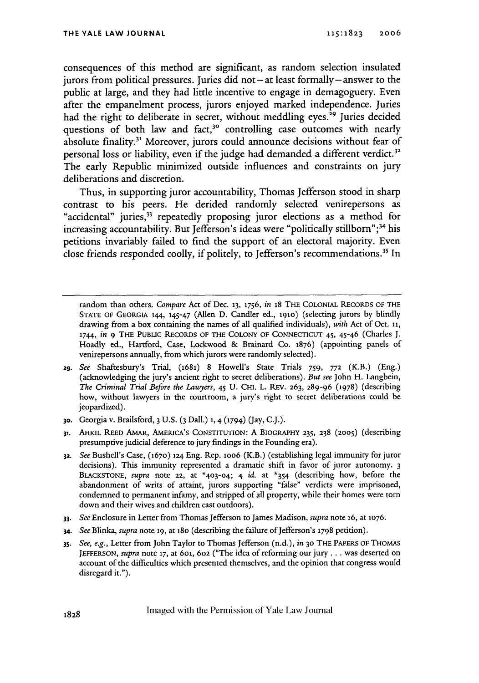consequences of this method are significant, as random selection insulated jurors from political pressures. Juries did **not -** at least formally **-** answer to the public at large, and they had little incentive to engage in demagoguery. Even after the empanelment process, jurors enjoyed marked independence. Juries had the right to deliberate in secret, without meddling eyes.<sup>29</sup> Juries decided questions of both law and fact,<sup>30</sup> controlling case outcomes with nearly absolute finality.<sup>31</sup> Moreover, jurors could announce decisions without fear of personal loss or liability, even if the judge had demanded a different verdict.<sup>32</sup> The early Republic minimized outside influences and constraints on jury deliberations and discretion.

Thus, in supporting juror accountability, Thomas Jefferson stood in sharp contrast to his peers. He derided randomly selected venirepersons as "accidental" juries,<sup>33</sup> repeatedly proposing juror elections as a method for increasing accountability. But Jefferson's ideas were "politically stillborn";<sup>34</sup> his petitions invariably failed to find the support of an electoral majority. Even close friends responded coolly, if politely, to Jefferson's recommendations.<sup>35</sup> In

random than others. *Compare* Act of Dec. **13, 1756,** *in* 18 THE COLONIAL RECORDS OF THE **STATE OF GEORGIA** 144, 145-47 (Allen D. Candler ed., **191o)** (selecting jurors by blindly drawing from a box containing the names of all qualified individuals), *with* Act of Oct, 11, 1744, *in* 9 THE PUBLIC RECORDS OF THE **COLONY OF** CONNECTICUT 45, 45-46 (Charles J. Hoadly ed., Hartford, Case, Lockwood & Brainard Co. 1876) (appointing panels of venirepersons annually, from which jurors were randomly selected).

- **29.** *See* Shaftesbury's Trial, (1681) 8 Howell's State Trials 759, **772** (K.B.) (Eng.) (acknowledging the jury's ancient right to secret deliberations). *But see* John H. Langbein, *The Criminal Trial Before the Lawyers,* 45 **U. CHI.** L. REv. **263,** 289-96 (1978) (describing how, without lawyers in the courtroom, a jury's right to secret deliberations could be jeopardized).
- **30.** Georgia v. Brailsford, 3 **U.S. (3** Dall.) **1,** 4 (1794) (Jay, C.J.).
- **31.** AHKJL REED AMAR, AMERICA'S CONSTITUTION: A BIOGRAPHY **235, 238 (2005)** (describing presumptive judicial deference to jury findings in the Founding era).
- **32.** *See* Bushell's Case, (1670) 124 Eng. Rep. ioo6 (K.B.) (establishing legal immunity for juror decisions). This immunity represented a dramatic shift in favor of juror autonomy. **3** BLACKSTONE, *supra* note **22,** at **\*4o3-o4;** 4 *id.* at \*354 (describing how, before the abandonment of writs of attaint, jurors supporting "false" verdicts were imprisoned, condemned to permanent infamy, and stripped of all property, while their homes were torn down and their wives and children cast outdoors).
- *33. See* Enclosure in Letter from Thomas Jefferson to James Madison, *supra* note **16,** at **1076.**
- 34. *See* Blinka, *supra* note **19,** at 18o (describing the failure of Jefferson's 1798 petition).
- *35. See, e.g.,* Letter from John Taylor to Thomas Jefferson (n.d.), *in* **30** THE PAPERS OF THOMAS **JEFFERSON,** *supra* note **17,** at 6ol, **602** ("The idea of reforming our jury... was deserted on account of the difficulties which presented themselves, and the opinion that congress would disregard it.").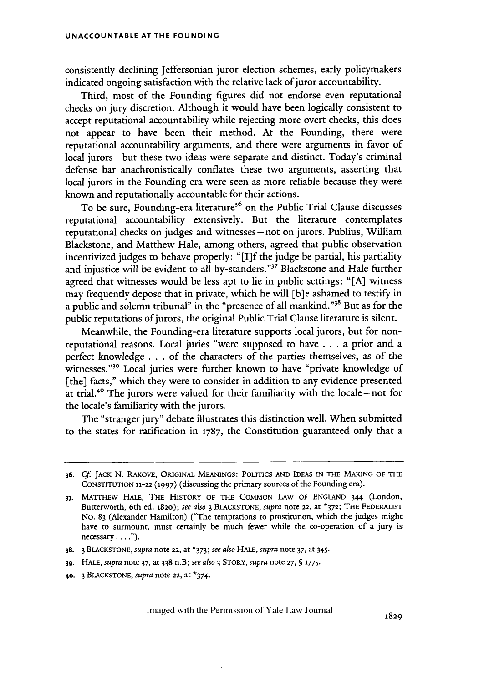consistendy declining Jeffersonian juror election schemes, early policymakers indicated ongoing satisfaction with the relative lack of juror accountability.

Third, most of the Founding figures did not endorse even reputational checks on jury discretion. Although it would have been logically consistent to accept reputational accountability while rejecting more overt checks, this does not appear to have been their method. At the Founding, there were reputational accountability arguments, and there were arguments in favor of local jurors-but these two ideas were separate and distinct. Today's criminal defense bar anachronistically conflates these two arguments, asserting that local jurors in the Founding era were seen as more reliable because they were known and reputationally accountable for their actions.

To be sure, Founding-era literature<sup>36</sup> on the Public Trial Clause discusses reputational accountability extensively. But the literature contemplates reputational checks on judges and witnesses **-** not on jurors. Publius, William Blackstone, and Matthew Hale, among others, agreed that public observation incentivized judges to behave properly: "[I]f the judge be partial, his partiality and injustice will be evident to all by-standers."37 Blackstone and Hale further agreed that witnesses would be less apt to lie in public settings: "[A] witness may frequently depose that in private, which he will [b]e ashamed to testify in a public and solemn tribunal" in the "presence of all mankind."<sup>38</sup> But as for the public reputations of jurors, the original Public Trial Clause literature is silent.

Meanwhile, the Founding-era literature supports local jurors, but for nonreputational reasons. Local juries "were supposed to have **..** a prior and a perfect knowledge **...** of the characters of the parties themselves, as *of* the witnesses."39 Local juries were further known to have "private knowledge of [the] facts," which they were to consider in addition to any evidence presented at trial.<sup>4 $\degree$ </sup> The jurors were valued for their familiarity with the locale – not for the locale's familiarity with the jurors.

The "stranger jury" debate illustrates this distinction well. When submitted to the states for ratification in 1787, the Constitution guaranteed only that a

- **39.** HALE, *supra* note **37,** at 338 n.B; *see also* 3 STORY, *supra* note **27, § 1775.**
- **40.** 3 BLACKSTONE, *supra* note 22, at \*374.

**<sup>36.</sup>** *Cf.* JACK N. RAKOVE, ORIGINAL MEANINGS: POLITICS AND IDEAS IN THE MAKING OF THE CONSTITUTION **11-22 (1997)** (discussing the primary sources of the Founding era).

<sup>37.</sup> MATTHEw HALE, THE HISTORY OF THE COMMON LAw OF ENGLAND 344 (London, Butterworth, 6th ed. **1820);** *see also* 3 BLACKSTONE, *supra* note **22,** at **\*372;** THE FEDERALIST No. 83 (Alexander Hamilton) ("The temptations to prostitution, which the judges might have to surmount, must certainly be much fewer while the co-operation of a jury is necessary **... ").**

**<sup>38.</sup>** 3 BLACKSTONE, *supra* note 22, at \*373; *see also HALE, supra* note 37, at 345.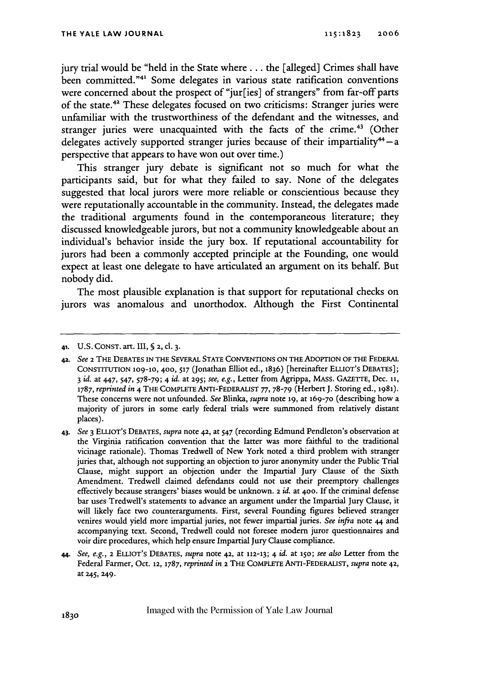jury trial would be "held in the State where . . . the [alleged] Crimes shall have been committed."4' Some delegates in various state ratification conventions were concerned about the prospect of "jur[ies] of strangers" from far-off parts of the state.42 These delegates focused on two criticisms: Stranger juries were unfamiliar with the trustworthiness of the defendant and the witnesses, and stranger juries were unacquainted with the facts of the crime.<sup>43</sup> (Other delegates actively supported stranger juries because of their impartiality<sup>44</sup> $-$ a perspective that appears to have won out over time.)

This stranger jury debate is significant not so much for what the participants said, but for what they failed to say. None of the delegates suggested that local jurors were more reliable or conscientious because they were reputationally accountable in the community. Instead, the delegates made the traditional arguments found in the contemporaneous literature; they discussed knowledgeable jurors, but not a community knowledgeable about an individual's behavior inside the jury box. If reputational accountability for jurors had been a commonly accepted principle at the Founding, one would expect at least one delegate to have articulated an argument on its behalf. But nobody did.

The most plausible explanation is that support for reputational checks on jurors was anomalous and unorthodox. Although the First Continental

*43. See* 3 ELLIOT's DEBATES, *supra* note 42, at 547 (recording Edmund Pendleton's observation at the Virginia ratification convention that the latter was more faithful to the traditional vicinage rationale). Thomas Tredwell of New York noted a third problem with stranger juries that, although not supporting an objection to juror anonymity under the Public Trial Clause, might support an objection under the Impartial Jury Clause of the Sixth Amendment. Tredwell claimed defendants could not use their preemptory challenges effectively because strangers' biases would be unknown. 2 *id.* at **400.** If the criminal defense bar uses Tredwell's statements to advance an argument under the Impartial Jury Clause, it will likely face two counterarguments. First, several Founding figures believed stranger venires would yield more impartial juries, not fewer impartial juries. *See infra* note 44 and accompanying text. Second, Tredwell could not foresee modem juror questionnaires and voir dire procedures, which help ensure Impartial Jury Clause compliance.

**<sup>41.</sup>** U.S. CONST. art. III, **§** 2, **cl. 3.**

**<sup>42.</sup>** *See* **2** THE DEBATES IN THE SEVERAL **STATE** CONVENTIONS ON THE ADOPTION OF THE FEDERAL CONSTITUTION **109-10,** 400, **517** (Jonathan Elliot ed., 1836) [hereinafter ELLIOT'S DEBATES]; 3 *id.* at 447, 547, 578-79; 4 *id.* at **295;** *see, e.g.,* Letter from Agrippa, MAss. GAZETrE, Dec. **ii,** *1787, reprinted in* 4 THE CoMPLETE ANTI-FEDERALIST *77,* 78-79 (Herbert **J.** Storing ed., 1981). These concerns were not unfounded. *See* Blinka, *supra* note **19,** at 169-70 (describing how a majority of jurors in some early federal trials were summoned from relatively distant places).

*<sup>44.</sup> See, e.g.,* **2** ELLIOT'S DEBATES, *supra* note **42,** at **112-13;** 4 *id.* at **15o;** *see also* Letter from the Federal Farmer, Oct. **12, 1787,** *reprinted in* **2** THE COMPLETE ANTI-FEDERALIST, *supra* note 42, at 245, 249.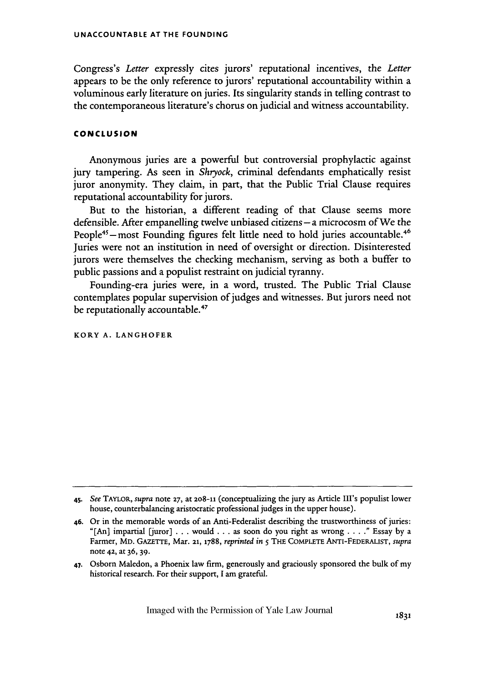Congress's *Letter* expressly cites jurors' reputational incentives, the *Letter* appears to be the only reference to jurors' reputational accountability within a voluminous early literature on juries. Its singularity stands in telling contrast to the contemporaneous literature's chorus on judicial and witness accountability.

#### **CONCLUSION**

Anonymous juries are a powerful but controversial prophylactic against jury tampering. As seen in *Shryock,* criminal defendants emphatically resist juror anonymity. They claim, in part, that the Public Trial Clause requires reputational accountability for jurors.

But to the historian, a different reading of that Clause seems more defensible. After empanelling twelve unbiased citizens - a microcosm of We the People<sup>45</sup> – most Founding figures felt little need to hold juries accountable.<sup>46</sup> Juries were not an institution in need of oversight or direction. Disinterested jurors were themselves the checking mechanism, serving as both a buffer to public passions and a populist restraint on judicial tyranny.

Founding-era juries were, in a word, trusted. The Public Trial Clause contemplates popular supervision of judges and witnesses. But jurors need not be reputationally accountable.<sup>47</sup>

KORY **A. LANGHOFER**

<sup>45.</sup> *See* TAYLOR, *supra* note **27,** at **208-11** (conceptualizing the jury as Article III's populist lower house, counterbalancing aristocratic professional judges in the upper house).

**<sup>46.</sup>** Or in the memorable words of an Anti-Federalist describing the trustworthiness of juries: "[An] impartial [juror] . . . would . **..** as soon do you right as wrong .... " Essay by a Farmer, MD. GAZETTE, Mar. **21, 1788,** *reprinted in* 5 **THE** COMPLETE ANTI-FEDERALIST, *supra* note **42,** at 36, **39.**

**<sup>47.</sup>** Osborn Maledon, a Phoenix law firm, generously and graciously sponsored the bulk of my historical research. For their support, I am grateful.